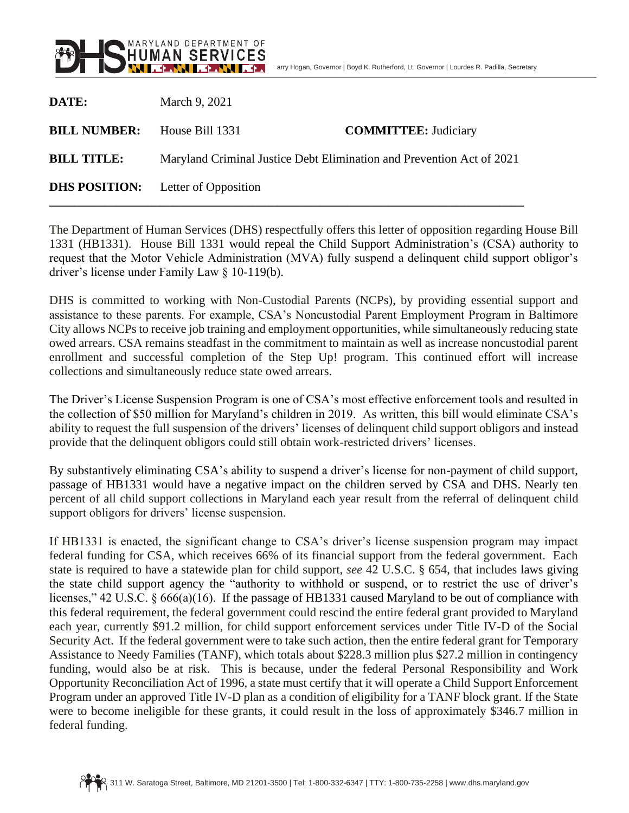

| DATE:               | March 9, 2021                                                         |                             |
|---------------------|-----------------------------------------------------------------------|-----------------------------|
| <b>BILL NUMBER:</b> | House Bill 1331                                                       | <b>COMMITTEE:</b> Judiciary |
| <b>BILL TITLE:</b>  | Maryland Criminal Justice Debt Elimination and Prevention Act of 2021 |                             |
|                     | <b>DHS POSITION:</b> Letter of Opposition                             |                             |

The Department of Human Services (DHS) respectfully offers this letter of opposition regarding House Bill 1331 (HB1331). House Bill 1331 would repeal the Child Support Administration's (CSA) authority to request that the Motor Vehicle Administration (MVA) fully suspend a delinquent child support obligor's driver's license under Family Law § 10-119(b).

DHS is committed to working with Non-Custodial Parents (NCPs), by providing essential support and assistance to these parents. For example, CSA's Noncustodial Parent Employment Program in Baltimore City allows NCPs to receive job training and employment opportunities, while simultaneously reducing state owed arrears. CSA remains steadfast in the commitment to maintain as well as increase noncustodial parent enrollment and successful completion of the Step Up! program. This continued effort will increase collections and simultaneously reduce state owed arrears.

The Driver's License Suspension Program is one of CSA's most effective enforcement tools and resulted in the collection of \$50 million for Maryland's children in 2019. As written, this bill would eliminate CSA's ability to request the full suspension of the drivers' licenses of delinquent child support obligors and instead provide that the delinquent obligors could still obtain work-restricted drivers' licenses.

By substantively eliminating CSA's ability to suspend a driver's license for non-payment of child support, passage of HB1331 would have a negative impact on the children served by CSA and DHS. Nearly ten percent of all child support collections in Maryland each year result from the referral of delinquent child support obligors for drivers' license suspension.

If HB1331 is enacted, the significant change to CSA's driver's license suspension program may impact federal funding for CSA, which receives 66% of its financial support from the federal government. Each state is required to have a statewide plan for child support, *see* 42 U.S.C. § 654, that includes laws giving the state child support agency the "authority to withhold or suspend, or to restrict the use of driver's licenses," 42 U.S.C. § 666(a)(16). If the passage of HB1331 caused Maryland to be out of compliance with this federal requirement, the federal government could rescind the entire federal grant provided to Maryland each year, currently \$91.2 million, for child support enforcement services under Title IV-D of the Social Security Act. If the federal government were to take such action, then the entire federal grant for Temporary Assistance to Needy Families (TANF), which totals about \$228.3 million plus \$27.2 million in contingency funding, would also be at risk. This is because, under the federal Personal Responsibility and Work Opportunity Reconciliation Act of 1996, a state must certify that it will operate a Child Support Enforcement Program under an approved Title IV-D plan as a condition of eligibility for a TANF block grant. If the State were to become ineligible for these grants, it could result in the loss of approximately \$346.7 million in federal funding.